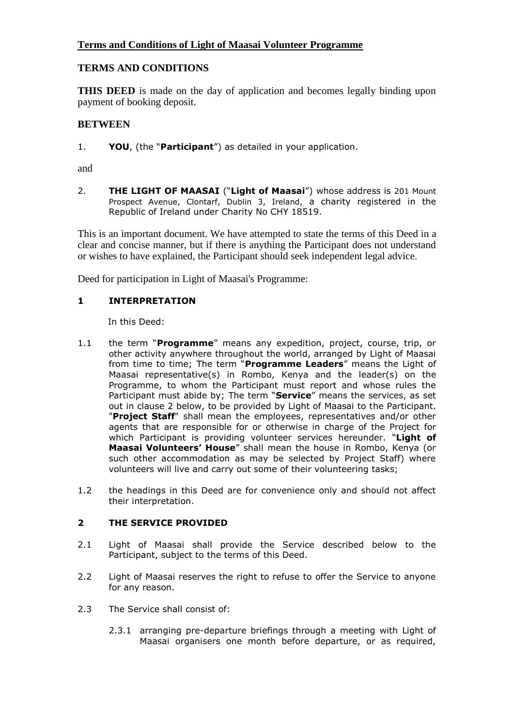# **Terms and Conditions of Light of Maasai Volunteer Programme**

# **TERMS AND CONDITIONS**

**THIS DEED** is made on the day of application and becomes legally binding upon payment of booking deposit.

# **BETWEEN**

1. **YOU**, (the "**Participant**") as detailed in your application.

and

2. **THE LIGHT OF MAASAI** ("**Light of Maasai**") whose address is 201 Mount Prospect Avenue, Clontarf, Dublin 3, Ireland, a charity registered in the Republic of Ireland under Charity No CHY 18519.

This is an important document. We have attempted to state the terms of this Deed in a clear and concise manner, but if there is anything the Participant does not understand or wishes to have explained, the Participant should seek independent legal advice.

Deed for participation in Light of Maasai's Programme:

## **1 INTERPRETATION**

In this Deed:

- 1.1 the term "**Programme**" means any expedition, project, course, trip, or other activity anywhere throughout the world, arranged by Light of Maasai from time to time; The term "**Programme Leaders**" means the Light of Maasai representative(s) in Rombo, Kenya and the leader(s) on the Programme, to whom the Participant must report and whose rules the Participant must abide by; The term "**Service**" means the services, as set out in clause 2 below, to be provided by Light of Maasai to the Participant. "**Project Staff**" shall mean the employees, representatives and/or other agents that are responsible for or otherwise in charge of the Project for which Participant is providing volunteer services hereunder. "**Light of Maasai Volunteers' House**" shall mean the house in Rombo, Kenya (or such other accommodation as may be selected by Project Staff) where volunteers will live and carry out some of their volunteering tasks;
- 1.2 the headings in this Deed are for convenience only and should not affect their interpretation.

## **2 THE SERVICE PROVIDED**

- 2.1 Light of Maasai shall provide the Service described below to the Participant, subject to the terms of this Deed.
- 2.2 Light of Maasai reserves the right to refuse to offer the Service to anyone for any reason.
- 2.3 The Service shall consist of:
	- 2.3.1 arranging pre-departure briefings through a meeting with Light of Maasai organisers one month before departure, or as required,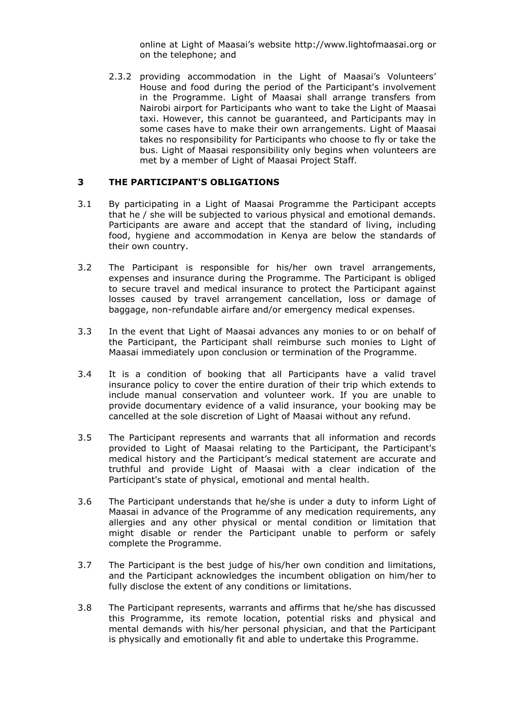online at Light of Maasai's website http://www.lightofmaasai.org or on the telephone; and

2.3.2 providing accommodation in the Light of Maasai's Volunteers' House and food during the period of the Participant's involvement in the Programme. Light of Maasai shall arrange transfers from Nairobi airport for Participants who want to take the Light of Maasai taxi. However, this cannot be guaranteed, and Participants may in some cases have to make their own arrangements. Light of Maasai takes no responsibility for Participants who choose to fly or take the bus. Light of Maasai responsibility only begins when volunteers are met by a member of Light of Maasai Project Staff.

#### **3 THE PARTICIPANT'S OBLIGATIONS**

- 3.1 By participating in a Light of Maasai Programme the Participant accepts that he / she will be subjected to various physical and emotional demands. Participants are aware and accept that the standard of living, including food, hygiene and accommodation in Kenya are below the standards of their own country.
- 3.2 The Participant is responsible for his/her own travel arrangements, expenses and insurance during the Programme. The Participant is obliged to secure travel and medical insurance to protect the Participant against losses caused by travel arrangement cancellation, loss or damage of baggage, non-refundable airfare and/or emergency medical expenses.
- 3.3 In the event that Light of Maasai advances any monies to or on behalf of the Participant, the Participant shall reimburse such monies to Light of Maasai immediately upon conclusion or termination of the Programme.
- 3.4 It is a condition of booking that all Participants have a valid travel insurance policy to cover the entire duration of their trip which extends to include manual conservation and volunteer work. If you are unable to provide documentary evidence of a valid insurance, your booking may be cancelled at the sole discretion of Light of Maasai without any refund.
- 3.5 The Participant represents and warrants that all information and records provided to Light of Maasai relating to the Participant, the Participant's medical history and the Participant's medical statement are accurate and truthful and provide Light of Maasai with a clear indication of the Participant's state of physical, emotional and mental health.
- 3.6 The Participant understands that he/she is under a duty to inform Light of Maasai in advance of the Programme of any medication requirements, any allergies and any other physical or mental condition or limitation that might disable or render the Participant unable to perform or safely complete the Programme.
- 3.7 The Participant is the best judge of his/her own condition and limitations, and the Participant acknowledges the incumbent obligation on him/her to fully disclose the extent of any conditions or limitations.
- 3.8 The Participant represents, warrants and affirms that he/she has discussed this Programme, its remote location, potential risks and physical and mental demands with his/her personal physician, and that the Participant is physically and emotionally fit and able to undertake this Programme.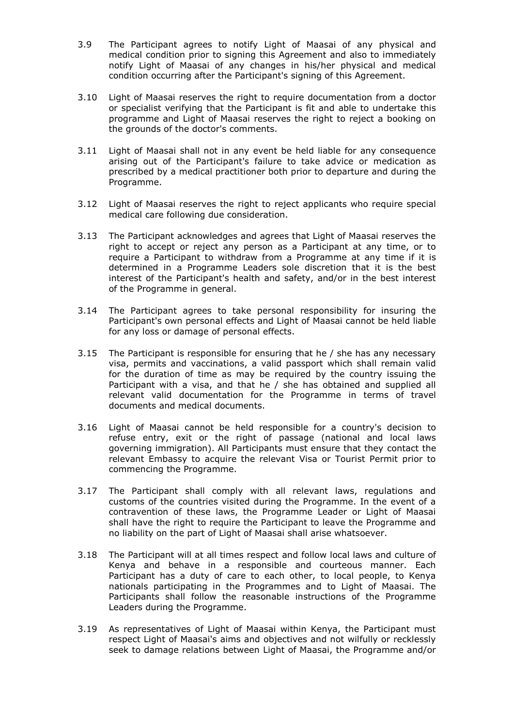- 3.9 The Participant agrees to notify Light of Maasai of any physical and medical condition prior to signing this Agreement and also to immediately notify Light of Maasai of any changes in his/her physical and medical condition occurring after the Participant's signing of this Agreement.
- 3.10 Light of Maasai reserves the right to require documentation from a doctor or specialist verifying that the Participant is fit and able to undertake this programme and Light of Maasai reserves the right to reject a booking on the grounds of the doctor's comments.
- 3.11 Light of Maasai shall not in any event be held liable for any consequence arising out of the Participant's failure to take advice or medication as prescribed by a medical practitioner both prior to departure and during the Programme.
- 3.12 Light of Maasai reserves the right to reject applicants who require special medical care following due consideration.
- 3.13 The Participant acknowledges and agrees that Light of Maasai reserves the right to accept or reject any person as a Participant at any time, or to require a Participant to withdraw from a Programme at any time if it is determined in a Programme Leaders sole discretion that it is the best interest of the Participant's health and safety, and/or in the best interest of the Programme in general.
- 3.14 The Participant agrees to take personal responsibility for insuring the Participant's own personal effects and Light of Maasai cannot be held liable for any loss or damage of personal effects.
- 3.15 The Participant is responsible for ensuring that he / she has any necessary visa, permits and vaccinations, a valid passport which shall remain valid for the duration of time as may be required by the country issuing the Participant with a visa, and that he / she has obtained and supplied all relevant valid documentation for the Programme in terms of travel documents and medical documents.
- 3.16 Light of Maasai cannot be held responsible for a country's decision to refuse entry, exit or the right of passage (national and local laws governing immigration). All Participants must ensure that they contact the relevant Embassy to acquire the relevant Visa or Tourist Permit prior to commencing the Programme.
- 3.17 The Participant shall comply with all relevant laws, regulations and customs of the countries visited during the Programme. In the event of a contravention of these laws, the Programme Leader or Light of Maasai shall have the right to require the Participant to leave the Programme and no liability on the part of Light of Maasai shall arise whatsoever.
- 3.18 The Participant will at all times respect and follow local laws and culture of Kenya and behave in a responsible and courteous manner. Each Participant has a duty of care to each other, to local people, to Kenya nationals participating in the Programmes and to Light of Maasai. The Participants shall follow the reasonable instructions of the Programme Leaders during the Programme.
- 3.19 As representatives of Light of Maasai within Kenya, the Participant must respect Light of Maasai's aims and objectives and not wilfully or recklessly seek to damage relations between Light of Maasai, the Programme and/or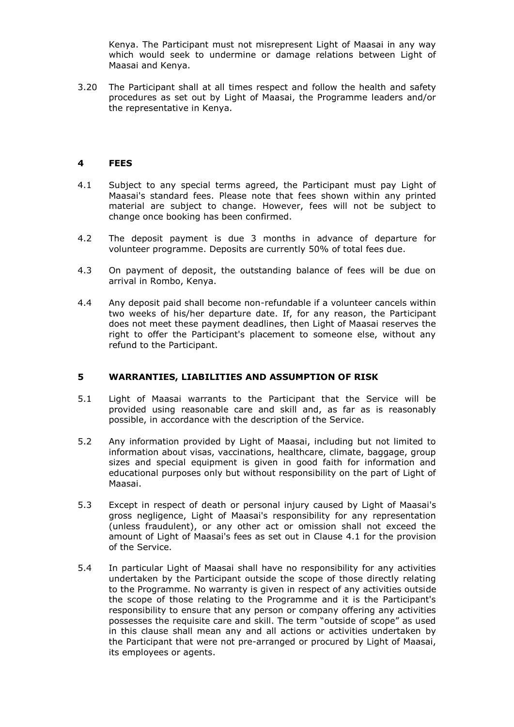Kenya. The Participant must not misrepresent Light of Maasai in any way which would seek to undermine or damage relations between Light of Maasai and Kenya.

3.20 The Participant shall at all times respect and follow the health and safety procedures as set out by Light of Maasai, the Programme leaders and/or the representative in Kenya.

#### **4 FEES**

- 4.1 Subject to any special terms agreed, the Participant must pay Light of Maasai's standard fees. Please note that fees shown within any printed material are subject to change. However, fees will not be subject to change once booking has been confirmed.
- 4.2 The deposit payment is due 3 months in advance of departure for volunteer programme. Deposits are currently 50% of total fees due.
- 4.3 On payment of deposit, the outstanding balance of fees will be due on arrival in Rombo, Kenya.
- 4.4 Any deposit paid shall become non-refundable if a volunteer cancels within two weeks of his/her departure date. If, for any reason, the Participant does not meet these payment deadlines, then Light of Maasai reserves the right to offer the Participant's placement to someone else, without any refund to the Participant.

#### **5 WARRANTIES, LIABILITIES AND ASSUMPTION OF RISK**

- 5.1 Light of Maasai warrants to the Participant that the Service will be provided using reasonable care and skill and, as far as is reasonably possible, in accordance with the description of the Service.
- 5.2 Any information provided by Light of Maasai, including but not limited to information about visas, vaccinations, healthcare, climate, baggage, group sizes and special equipment is given in good faith for information and educational purposes only but without responsibility on the part of Light of Maasai.
- 5.3 Except in respect of death or personal injury caused by Light of Maasai's gross negligence, Light of Maasai's responsibility for any representation (unless fraudulent), or any other act or omission shall not exceed the amount of Light of Maasai's fees as set out in Clause 4.1 for the provision of the Service.
- 5.4 In particular Light of Maasai shall have no responsibility for any activities undertaken by the Participant outside the scope of those directly relating to the Programme. No warranty is given in respect of any activities outside the scope of those relating to the Programme and it is the Participant's responsibility to ensure that any person or company offering any activities possesses the requisite care and skill. The term "outside of scope" as used in this clause shall mean any and all actions or activities undertaken by the Participant that were not pre-arranged or procured by Light of Maasai, its employees or agents.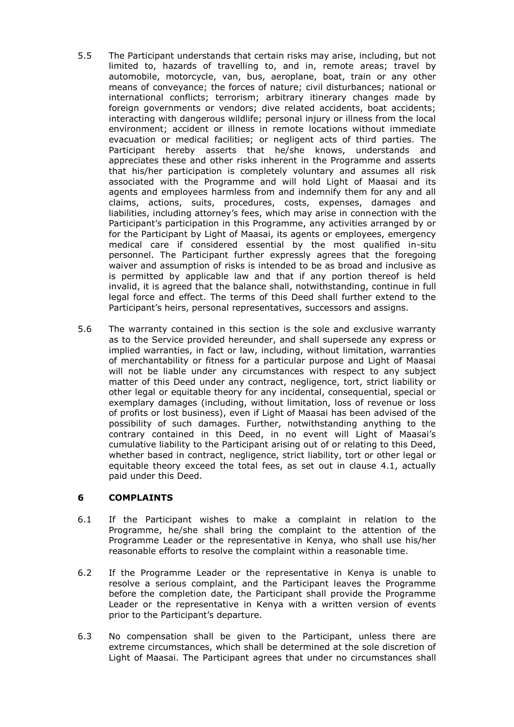- 5.5 The Participant understands that certain risks may arise, including, but not limited to, hazards of travelling to, and in, remote areas; travel by automobile, motorcycle, van, bus, aeroplane, boat, train or any other means of conveyance; the forces of nature; civil disturbances; national or international conflicts; terrorism; arbitrary itinerary changes made by foreign governments or vendors; dive related accidents, boat accidents; interacting with dangerous wildlife; personal injury or illness from the local environment; accident or illness in remote locations without immediate evacuation or medical facilities; or negligent acts of third parties. The Participant hereby asserts that he/she knows, understands and appreciates these and other risks inherent in the Programme and asserts that his/her participation is completely voluntary and assumes all risk associated with the Programme and will hold Light of Maasai and its agents and employees harmless from and indemnify them for any and all claims, actions, suits, procedures, costs, expenses, damages and liabilities, including attorney's fees, which may arise in connection with the Participant's participation in this Programme, any activities arranged by or for the Participant by Light of Maasai, its agents or employees, emergency medical care if considered essential by the most qualified in-situ personnel. The Participant further expressly agrees that the foregoing waiver and assumption of risks is intended to be as broad and inclusive as is permitted by applicable law and that if any portion thereof is held invalid, it is agreed that the balance shall, notwithstanding, continue in full legal force and effect. The terms of this Deed shall further extend to the Participant's heirs, personal representatives, successors and assigns.
- 5.6 The warranty contained in this section is the sole and exclusive warranty as to the Service provided hereunder, and shall supersede any express or implied warranties, in fact or law, including, without limitation, warranties of merchantability or fitness for a particular purpose and Light of Maasai will not be liable under any circumstances with respect to any subject matter of this Deed under any contract, negligence, tort, strict liability or other legal or equitable theory for any incidental, consequential, special or exemplary damages (including, without limitation, loss of revenue or loss of profits or lost business), even if Light of Maasai has been advised of the possibility of such damages. Further, notwithstanding anything to the contrary contained in this Deed, in no event will Light of Maasai's cumulative liability to the Participant arising out of or relating to this Deed, whether based in contract, negligence, strict liability, tort or other legal or equitable theory exceed the total fees, as set out in clause 4.1, actually paid under this Deed.

## **6 COMPLAINTS**

- 6.1 If the Participant wishes to make a complaint in relation to the Programme, he/she shall bring the complaint to the attention of the Programme Leader or the representative in Kenya, who shall use his/her reasonable efforts to resolve the complaint within a reasonable time.
- 6.2 If the Programme Leader or the representative in Kenya is unable to resolve a serious complaint, and the Participant leaves the Programme before the completion date, the Participant shall provide the Programme Leader or the representative in Kenya with a written version of events prior to the Participant's departure.
- 6.3 No compensation shall be given to the Participant, unless there are extreme circumstances, which shall be determined at the sole discretion of Light of Maasai. The Participant agrees that under no circumstances shall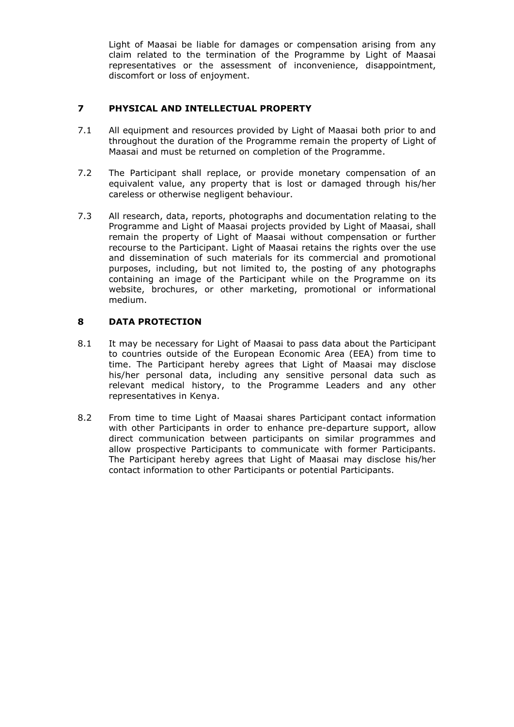Light of Maasai be liable for damages or compensation arising from any claim related to the termination of the Programme by Light of Maasai representatives or the assessment of inconvenience, disappointment, discomfort or loss of enjoyment.

## **7 PHYSICAL AND INTELLECTUAL PROPERTY**

- 7.1 All equipment and resources provided by Light of Maasai both prior to and throughout the duration of the Programme remain the property of Light of Maasai and must be returned on completion of the Programme.
- 7.2 The Participant shall replace, or provide monetary compensation of an equivalent value, any property that is lost or damaged through his/her careless or otherwise negligent behaviour.
- 7.3 All research, data, reports, photographs and documentation relating to the Programme and Light of Maasai projects provided by Light of Maasai, shall remain the property of Light of Maasai without compensation or further recourse to the Participant. Light of Maasai retains the rights over the use and dissemination of such materials for its commercial and promotional purposes, including, but not limited to, the posting of any photographs containing an image of the Participant while on the Programme on its website, brochures, or other marketing, promotional or informational medium.

## **8 DATA PROTECTION**

- 8.1 It may be necessary for Light of Maasai to pass data about the Participant to countries outside of the European Economic Area (EEA) from time to time. The Participant hereby agrees that Light of Maasai may disclose his/her personal data, including any sensitive personal data such as relevant medical history, to the Programme Leaders and any other representatives in Kenya.
- 8.2 From time to time Light of Maasai shares Participant contact information with other Participants in order to enhance pre-departure support, allow direct communication between participants on similar programmes and allow prospective Participants to communicate with former Participants. The Participant hereby agrees that Light of Maasai may disclose his/her contact information to other Participants or potential Participants.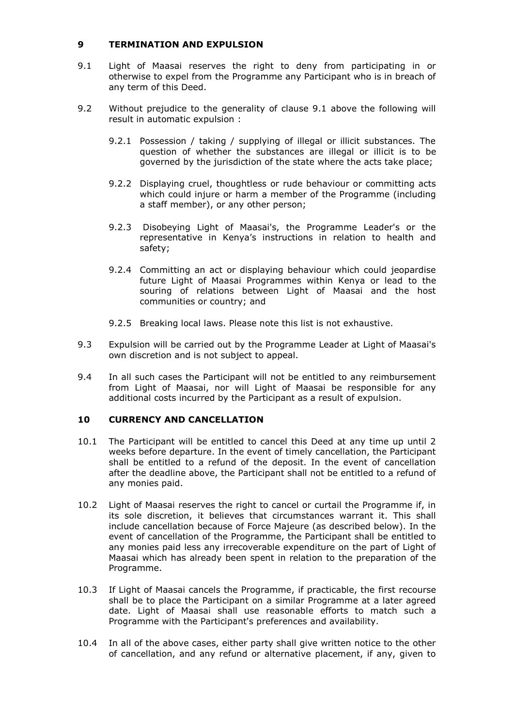#### **9 TERMINATION AND EXPULSION**

- 9.1 Light of Maasai reserves the right to deny from participating in or otherwise to expel from the Programme any Participant who is in breach of any term of this Deed.
- 9.2 Without prejudice to the generality of clause 9.1 above the following will result in automatic expulsion :
	- 9.2.1 Possession / taking / supplying of illegal or illicit substances. The question of whether the substances are illegal or illicit is to be governed by the jurisdiction of the state where the acts take place;
	- 9.2.2 Displaying cruel, thoughtless or rude behaviour or committing acts which could injure or harm a member of the Programme (including a staff member), or any other person;
	- 9.2.3 Disobeying Light of Maasai's, the Programme Leader's or the representative in Kenya's instructions in relation to health and safety;
	- 9.2.4 Committing an act or displaying behaviour which could jeopardise future Light of Maasai Programmes within Kenya or lead to the souring of relations between Light of Maasai and the host communities or country; and
	- 9.2.5 Breaking local laws. Please note this list is not exhaustive.
- 9.3 Expulsion will be carried out by the Programme Leader at Light of Maasai's own discretion and is not subject to appeal.
- 9.4 In all such cases the Participant will not be entitled to any reimbursement from Light of Maasai, nor will Light of Maasai be responsible for any additional costs incurred by the Participant as a result of expulsion.

## **10 CURRENCY AND CANCELLATION**

- 10.1 The Participant will be entitled to cancel this Deed at any time up until 2 weeks before departure. In the event of timely cancellation, the Participant shall be entitled to a refund of the deposit. In the event of cancellation after the deadline above, the Participant shall not be entitled to a refund of any monies paid.
- 10.2 Light of Maasai reserves the right to cancel or curtail the Programme if, in its sole discretion, it believes that circumstances warrant it. This shall include cancellation because of Force Majeure (as described below). In the event of cancellation of the Programme, the Participant shall be entitled to any monies paid less any irrecoverable expenditure on the part of Light of Maasai which has already been spent in relation to the preparation of the Programme.
- 10.3 If Light of Maasai cancels the Programme, if practicable, the first recourse shall be to place the Participant on a similar Programme at a later agreed date. Light of Maasai shall use reasonable efforts to match such a Programme with the Participant's preferences and availability.
- 10.4 In all of the above cases, either party shall give written notice to the other of cancellation, and any refund or alternative placement, if any, given to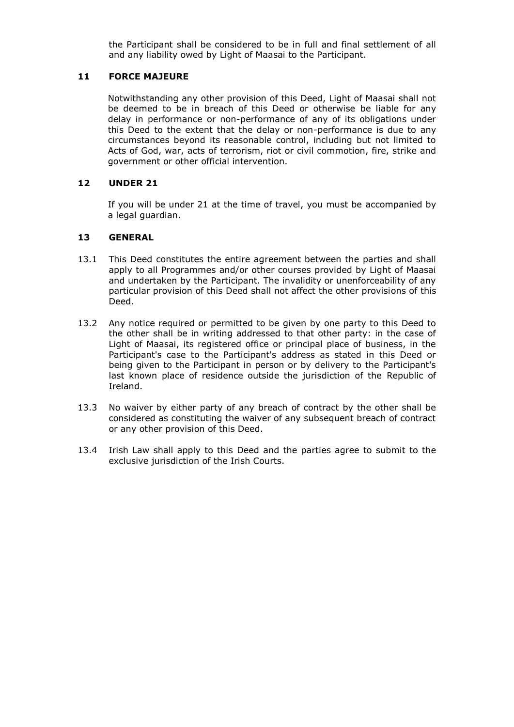the Participant shall be considered to be in full and final settlement of all and any liability owed by Light of Maasai to the Participant.

#### **11 FORCE MAJEURE**

Notwithstanding any other provision of this Deed, Light of Maasai shall not be deemed to be in breach of this Deed or otherwise be liable for any delay in performance or non-performance of any of its obligations under this Deed to the extent that the delay or non-performance is due to any circumstances beyond its reasonable control, including but not limited to Acts of God, war, acts of terrorism, riot or civil commotion, fire, strike and government or other official intervention.

#### **12 UNDER 21**

If you will be under 21 at the time of travel, you must be accompanied by a legal guardian.

#### **13 GENERAL**

- 13.1 This Deed constitutes the entire agreement between the parties and shall apply to all Programmes and/or other courses provided by Light of Maasai and undertaken by the Participant. The invalidity or unenforceability of any particular provision of this Deed shall not affect the other provisions of this Deed.
- 13.2 Any notice required or permitted to be given by one party to this Deed to the other shall be in writing addressed to that other party: in the case of Light of Maasai, its registered office or principal place of business, in the Participant's case to the Participant's address as stated in this Deed or being given to the Participant in person or by delivery to the Participant's last known place of residence outside the jurisdiction of the Republic of Ireland.
- 13.3 No waiver by either party of any breach of contract by the other shall be considered as constituting the waiver of any subsequent breach of contract or any other provision of this Deed.
- 13.4 Irish Law shall apply to this Deed and the parties agree to submit to the exclusive jurisdiction of the Irish Courts.